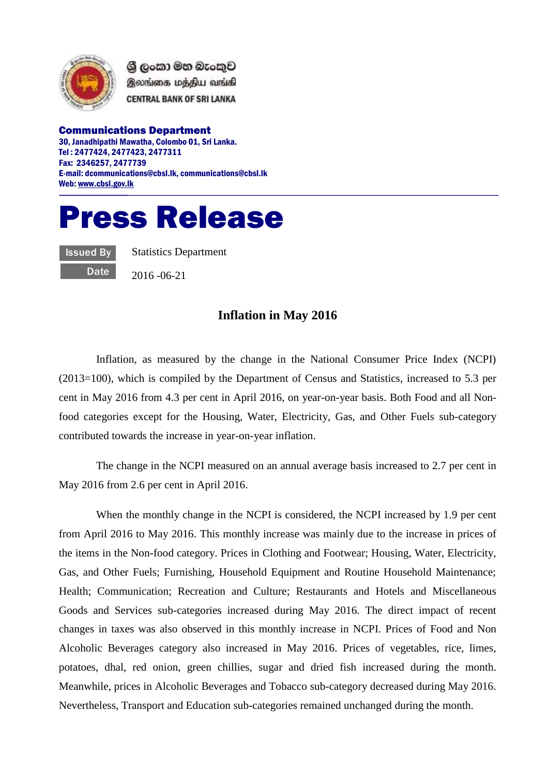

ශී ලංකා මහ බැංකුව இலங்கை மத்திய வங்கி **CENTRAL BANK OF SRI LANKA** 

Communications Department 30, Janadhipathi Mawatha, Colombo 01, Sri Lanka. Tel : 2477424, 2477423, 2477311 Fax: 2346257, 2477739 E-mail: dcommunications@cbsl.lk, communications@cbsl.lk Web[: www.cbsl.gov.lk](http://www.cbsl.gov.lk/)

## Press Release

Issued By **Date**  Statistics Department

2016 -06-21

## **Inflation in May 2016**

Inflation, as measured by the change in the National Consumer Price Index (NCPI) (2013=100), which is compiled by the Department of Census and Statistics, increased to 5.3 per cent in May 2016 from 4.3 per cent in April 2016, on year-on-year basis. Both Food and all Nonfood categories except for the Housing, Water, Electricity, Gas, and Other Fuels sub-category contributed towards the increase in year-on-year inflation.

The change in the NCPI measured on an annual average basis increased to 2.7 per cent in May 2016 from 2.6 per cent in April 2016.

When the monthly change in the NCPI is considered, the NCPI increased by 1.9 per cent from April 2016 to May 2016. This monthly increase was mainly due to the increase in prices of the items in the Non-food category. Prices in Clothing and Footwear; Housing, Water, Electricity, Gas, and Other Fuels; Furnishing, Household Equipment and Routine Household Maintenance; Health; Communication; Recreation and Culture; Restaurants and Hotels and Miscellaneous Goods and Services sub-categories increased during May 2016. The direct impact of recent changes in taxes was also observed in this monthly increase in NCPI. Prices of Food and Non Alcoholic Beverages category also increased in May 2016. Prices of vegetables, rice, limes, potatoes, dhal, red onion, green chillies, sugar and dried fish increased during the month. Meanwhile, prices in Alcoholic Beverages and Tobacco sub-category decreased during May 2016. Nevertheless, Transport and Education sub-categories remained unchanged during the month.